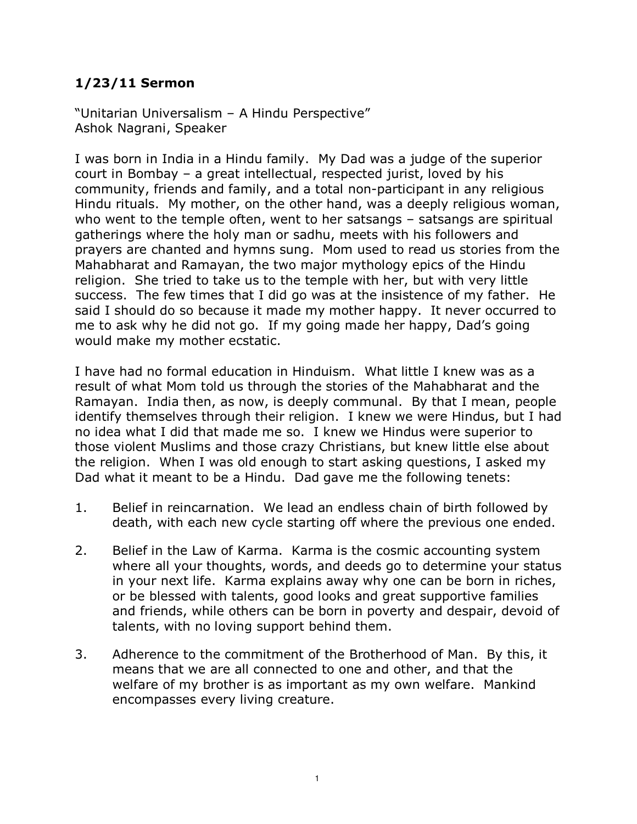## **1/23/11 Sermon**

"Unitarian Universalism – A Hindu Perspective" Ashok Nagrani, Speaker

I was born in India in a Hindu family. My Dad was a judge of the superior court in Bombay – a great intellectual, respected jurist, loved by his community, friends and family, and a total non-participant in any religious Hindu rituals. My mother, on the other hand, was a deeply religious woman, who went to the temple often, went to her satsangs – satsangs are spiritual gatherings where the holy man or sadhu, meets with his followers and prayers are chanted and hymns sung. Mom used to read us stories from the Mahabharat and Ramayan, the two major mythology epics of the Hindu religion. She tried to take us to the temple with her, but with very little success. The few times that I did go was at the insistence of my father. He said I should do so because it made my mother happy. It never occurred to me to ask why he did not go. If my going made her happy, Dad's going would make my mother ecstatic.

I have had no formal education in Hinduism. What little I knew was as a result of what Mom told us through the stories of the Mahabharat and the Ramayan. India then, as now, is deeply communal. By that I mean, people identify themselves through their religion. I knew we were Hindus, but I had no idea what I did that made me so. I knew we Hindus were superior to those violent Muslims and those crazy Christians, but knew little else about the religion. When I was old enough to start asking questions, I asked my Dad what it meant to be a Hindu. Dad gave me the following tenets:

- 1. Belief in reincarnation. We lead an endless chain of birth followed by death, with each new cycle starting off where the previous one ended.
- 2. Belief in the Law of Karma. Karma is the cosmic accounting system where all your thoughts, words, and deeds go to determine your status in your next life. Karma explains away why one can be born in riches, or be blessed with talents, good looks and great supportive families and friends, while others can be born in poverty and despair, devoid of talents, with no loving support behind them.
- 3. Adherence to the commitment of the Brotherhood of Man. By this, it means that we are all connected to one and other, and that the welfare of my brother is as important as my own welfare. Mankind encompasses every living creature.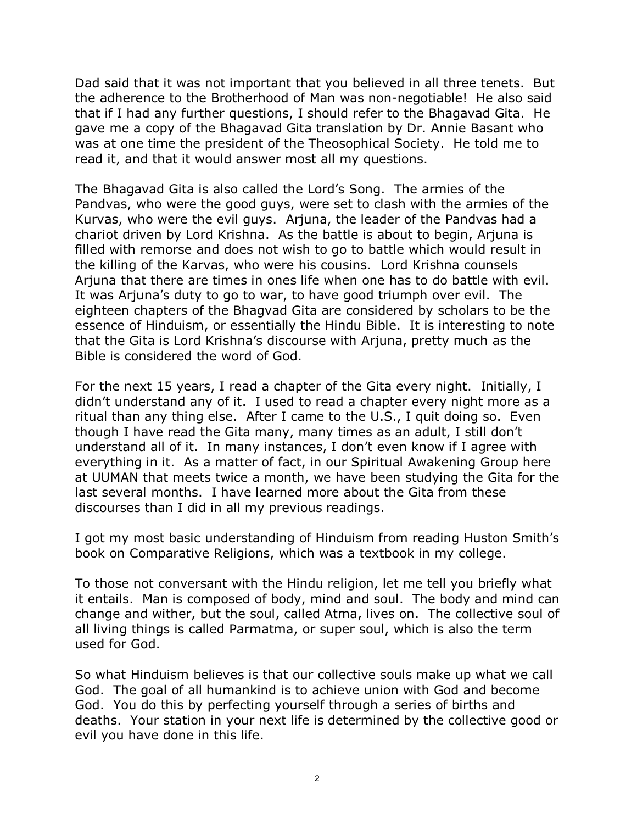Dad said that it was not important that you believed in all three tenets. But the adherence to the Brotherhood of Man was non-negotiable! He also said that if I had any further questions, I should refer to the Bhagavad Gita. He gave me a copy of the Bhagavad Gita translation by Dr. Annie Basant who was at one time the president of the Theosophical Society. He told me to read it, and that it would answer most all my questions.

The Bhagavad Gita is also called the Lord's Song. The armies of the Pandvas, who were the good guys, were set to clash with the armies of the Kurvas, who were the evil guys. Arjuna, the leader of the Pandvas had a chariot driven by Lord Krishna. As the battle is about to begin, Arjuna is filled with remorse and does not wish to go to battle which would result in the killing of the Karvas, who were his cousins. Lord Krishna counsels Arjuna that there are times in ones life when one has to do battle with evil. It was Arjuna's duty to go to war, to have good triumph over evil. The eighteen chapters of the Bhagvad Gita are considered by scholars to be the essence of Hinduism, or essentially the Hindu Bible. It is interesting to note that the Gita is Lord Krishna's discourse with Arjuna, pretty much as the Bible is considered the word of God.

For the next 15 years, I read a chapter of the Gita every night. Initially, I didn't understand any of it. I used to read a chapter every night more as a ritual than any thing else. After I came to the U.S., I quit doing so. Even though I have read the Gita many, many times as an adult, I still don't understand all of it. In many instances, I don't even know if I agree with everything in it. As a matter of fact, in our Spiritual Awakening Group here at UUMAN that meets twice a month, we have been studying the Gita for the last several months. I have learned more about the Gita from these discourses than I did in all my previous readings.

I got my most basic understanding of Hinduism from reading Huston Smith's book on Comparative Religions, which was a textbook in my college.

To those not conversant with the Hindu religion, let me tell you briefly what it entails. Man is composed of body, mind and soul. The body and mind can change and wither, but the soul, called Atma, lives on. The collective soul of all living things is called Parmatma, or super soul, which is also the term used for God.

So what Hinduism believes is that our collective souls make up what we call God. The goal of all humankind is to achieve union with God and become God. You do this by perfecting yourself through a series of births and deaths. Your station in your next life is determined by the collective good or evil you have done in this life.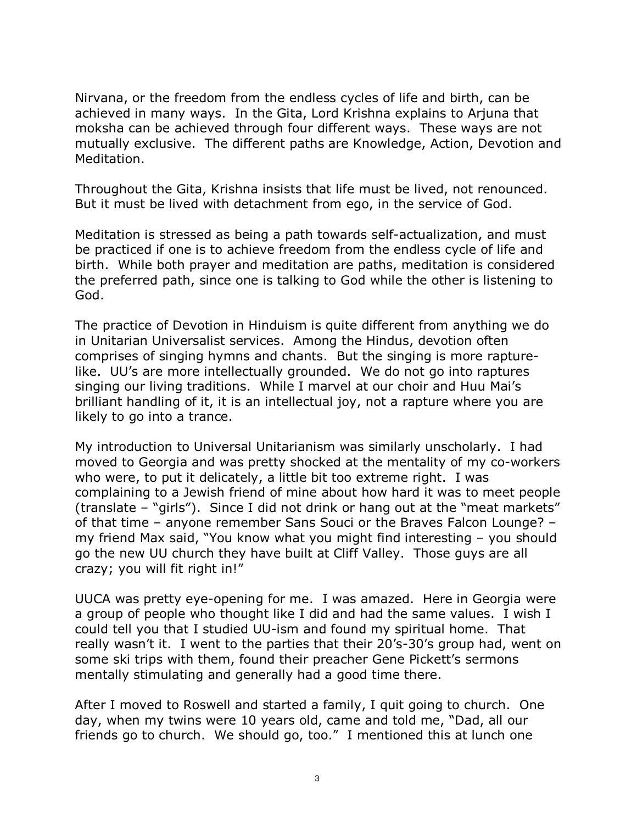Nirvana, or the freedom from the endless cycles of life and birth, can be achieved in many ways. In the Gita, Lord Krishna explains to Arjuna that moksha can be achieved through four different ways. These ways are not mutually exclusive. The different paths are Knowledge, Action, Devotion and Meditation.

Throughout the Gita, Krishna insists that life must be lived, not renounced. But it must be lived with detachment from ego, in the service of God.

Meditation is stressed as being a path towards self-actualization, and must be practiced if one is to achieve freedom from the endless cycle of life and birth. While both prayer and meditation are paths, meditation is considered the preferred path, since one is talking to God while the other is listening to God.

The practice of Devotion in Hinduism is quite different from anything we do in Unitarian Universalist services. Among the Hindus, devotion often comprises of singing hymns and chants. But the singing is more rapturelike. UU's are more intellectually grounded. We do not go into raptures singing our living traditions. While I marvel at our choir and Huu Mai's brilliant handling of it, it is an intellectual joy, not a rapture where you are likely to go into a trance.

My introduction to Universal Unitarianism was similarly unscholarly. I had moved to Georgia and was pretty shocked at the mentality of my co-workers who were, to put it delicately, a little bit too extreme right. I was complaining to a Jewish friend of mine about how hard it was to meet people (translate – "girls"). Since I did not drink or hang out at the "meat markets" of that time – anyone remember Sans Souci or the Braves Falcon Lounge? – my friend Max said, "You know what you might find interesting – you should go the new UU church they have built at Cliff Valley. Those guys are all crazy; you will fit right in!"

UUCA was pretty eye-opening for me. I was amazed. Here in Georgia were a group of people who thought like I did and had the same values. I wish I could tell you that I studied UU-ism and found my spiritual home. That really wasn't it. I went to the parties that their 20's-30's group had, went on some ski trips with them, found their preacher Gene Pickett's sermons mentally stimulating and generally had a good time there.

After I moved to Roswell and started a family, I quit going to church. One day, when my twins were 10 years old, came and told me, "Dad, all our friends go to church. We should go, too." I mentioned this at lunch one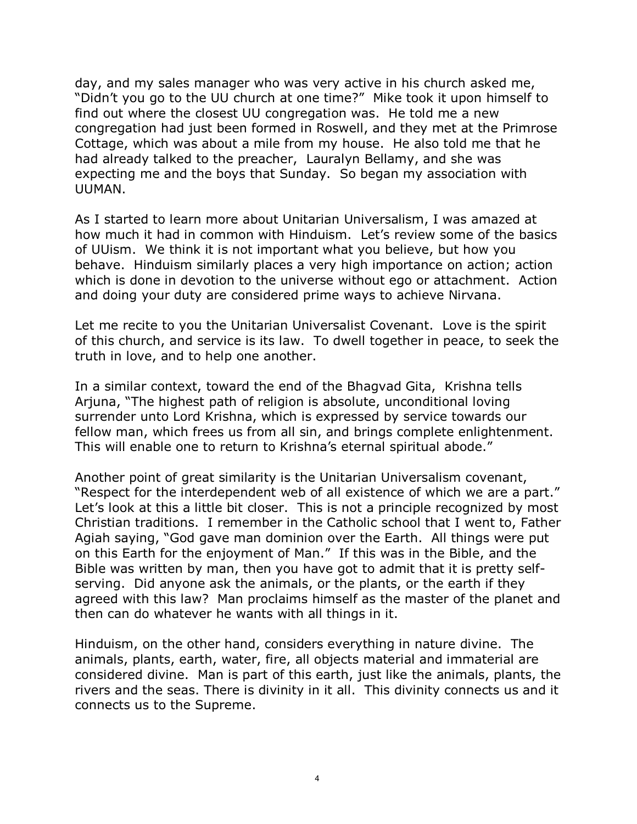day, and my sales manager who was very active in his church asked me, "Didn't you go to the UU church at one time?" Mike took it upon himself to find out where the closest UU congregation was. He told me a new congregation had just been formed in Roswell, and they met at the Primrose Cottage, which was about a mile from my house. He also told me that he had already talked to the preacher, Lauralyn Bellamy, and she was expecting me and the boys that Sunday. So began my association with UUMAN.

As I started to learn more about Unitarian Universalism, I was amazed at how much it had in common with Hinduism. Let's review some of the basics of UUism. We think it is not important what you believe, but how you behave. Hinduism similarly places a very high importance on action; action which is done in devotion to the universe without ego or attachment. Action and doing your duty are considered prime ways to achieve Nirvana.

Let me recite to you the Unitarian Universalist Covenant. Love is the spirit of this church, and service is its law. To dwell together in peace, to seek the truth in love, and to help one another.

In a similar context, toward the end of the Bhagvad Gita, Krishna tells Arjuna, "The highest path of religion is absolute, unconditional loving surrender unto Lord Krishna, which is expressed by service towards our fellow man, which frees us from all sin, and brings complete enlightenment. This will enable one to return to Krishna's eternal spiritual abode."

Another point of great similarity is the Unitarian Universalism covenant, "Respect for the interdependent web of all existence of which we are a part." Let's look at this a little bit closer. This is not a principle recognized by most Christian traditions. I remember in the Catholic school that I went to, Father Agiah saying, "God gave man dominion over the Earth. All things were put on this Earth for the enjoyment of Man." If this was in the Bible, and the Bible was written by man, then you have got to admit that it is pretty selfserving. Did anyone ask the animals, or the plants, or the earth if they agreed with this law? Man proclaims himself as the master of the planet and then can do whatever he wants with all things in it.

Hinduism, on the other hand, considers everything in nature divine. The animals, plants, earth, water, fire, all objects material and immaterial are considered divine. Man is part of this earth, just like the animals, plants, the rivers and the seas. There is divinity in it all. This divinity connects us and it connects us to the Supreme.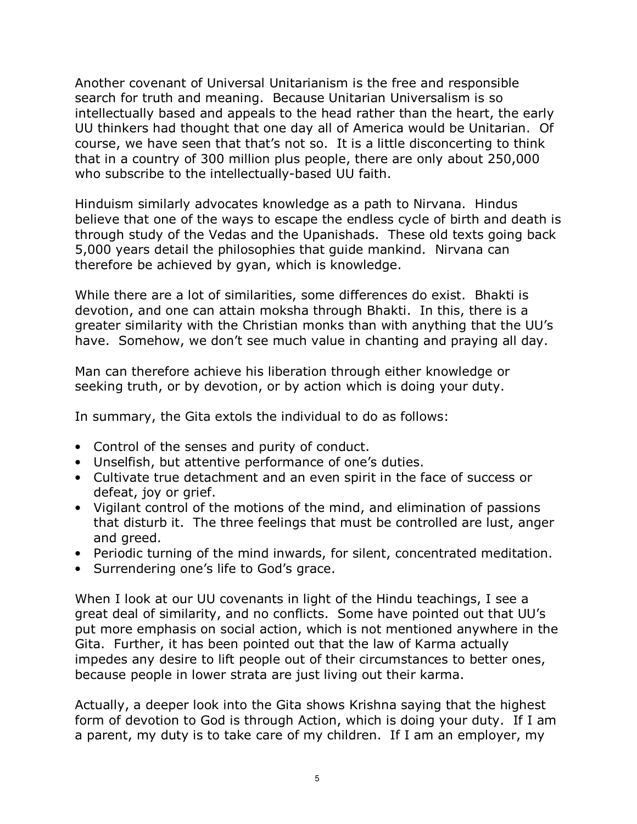Another covenant of Universal Unitarianism is the free and responsible search for truth and meaning. Because Unitarian Universalism is so intellectually based and appeals to the head rather than the heart, the early UU thinkers had thought that one day all of America would be Unitarian. Of course, we have seen that that's not so. It is a little disconcerting to think that in a country of 300 million plus people, there are only about 250,000 who subscribe to the intellectually-based UU faith.

Hinduism similarly advocates knowledge as a path to Nirvana. Hindus believe that one of the ways to escape the endless cycle of birth and death is through study of the Vedas and the Upanishads. These old texts going back 5,000 years detail the philosophies that guide mankind. Nirvana can therefore be achieved by gyan, which is knowledge.

While there are a lot of similarities, some differences do exist. Bhakti is devotion, and one can attain moksha through Bhakti. In this, there is a greater similarity with the Christian monks than with anything that the UU's have. Somehow, we don't see much value in chanting and praying all day.

Man can therefore achieve his liberation through either knowledge or seeking truth, or by devotion, or by action which is doing your duty.

In summary, the Gita extols the individual to do as follows:

- Control of the senses and purity of conduct.
- Unselfish, but attentive performance of one's duties.
- Cultivate true detachment and an even spirit in the face of success or defeat, joy or grief.
- Vigilant control of the motions of the mind, and elimination of passions that disturb it. The three feelings that must be controlled are lust, anger and greed.
- Periodic turning of the mind inwards, for silent, concentrated meditation.
- Surrendering one's life to God's grace.

When I look at our UU covenants in light of the Hindu teachings, I see a great deal of similarity, and no conflicts. Some have pointed out that UU's put more emphasis on social action, which is not mentioned anywhere in the Gita. Further, it has been pointed out that the law of Karma actually impedes any desire to lift people out of their circumstances to better ones, because people in lower strata are just living out their karma.

Actually, a deeper look into the Gita shows Krishna saying that the highest form of devotion to God is through Action, which is doing your duty. If I am a parent, my duty is to take care of my children. If I am an employer, my